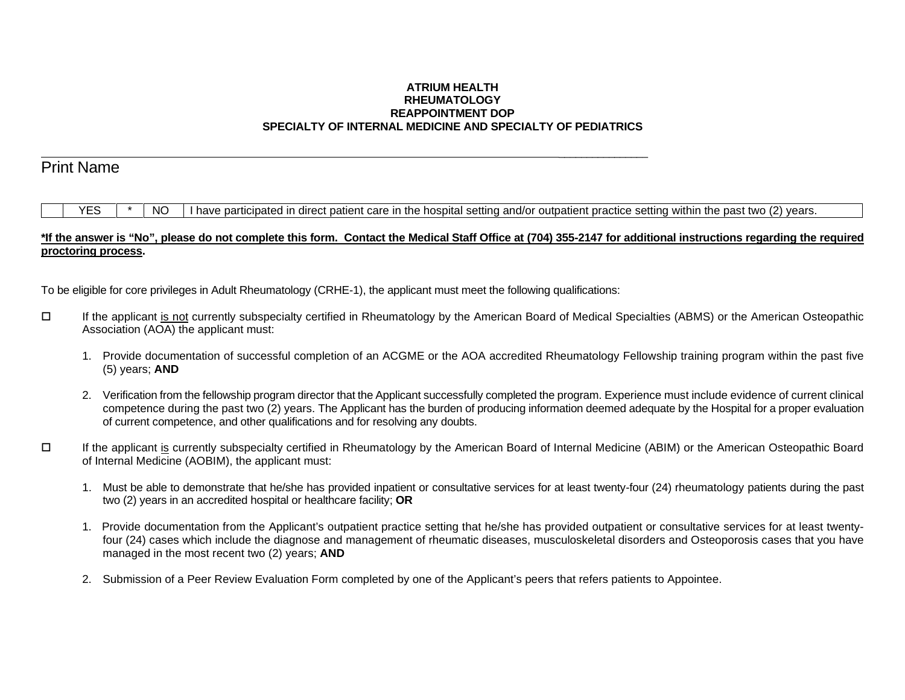## **ATRIUM HEALTH RHEUMATOLOGY REAPPOINTMENT DOP SPECIALTY OF INTERNAL MEDICINE AND SPECIALTY OF PEDIATRICS**

# Print Name

 $YES \mid * \mid NO \mid$  I have participated in direct patient care in the hospital setting and/or outpatient practice setting within the past two (2) years.

## **\*If the answer is "No", please do not complete this form. Contact the Medical Staff Office at (704) 355-2147 for additional instructions regarding the required proctoring process.**

To be eligible for core privileges in Adult Rheumatology (CRHE-1), the applicant must meet the following qualifications:

 $\mathcal{L}_\text{max}$  , and the contract of the contract of the contract of the contract of the contract of the contract of the contract of the contract of the contract of the contract of the contract of the contract of the contr

- If the applicant is not currently subspecialty certified in Rheumatology by the American Board of Medical Specialties (ABMS) or the American Osteopathic Association (AOA) the applicant must:
	- 1. Provide documentation of successful completion of an ACGME or the AOA accredited Rheumatology Fellowship training program within the past five (5) years; **AND**
	- 2. Verification from the fellowship program director that the Applicant successfully completed the program. Experience must include evidence of current clinical competence during the past two (2) years. The Applicant has the burden of producing information deemed adequate by the Hospital for a proper evaluation of current competence, and other qualifications and for resolving any doubts.
- If the applicant is currently subspecialty certified in Rheumatology by the American Board of Internal Medicine (ABIM) or the American Osteopathic Board of Internal Medicine (AOBIM), the applicant must:
	- 1. Must be able to demonstrate that he/she has provided inpatient or consultative services for at least twenty-four (24) rheumatology patients during the past two (2) years in an accredited hospital or healthcare facility; **OR**
	- 1. Provide documentation from the Applicant's outpatient practice setting that he/she has provided outpatient or consultative services for at least twentyfour (24) cases which include the diagnose and management of rheumatic diseases, musculoskeletal disorders and Osteoporosis cases that you have managed in the most recent two (2) years; **AND**
	- 2. Submission of a Peer Review Evaluation Form completed by one of the Applicant's peers that refers patients to Appointee.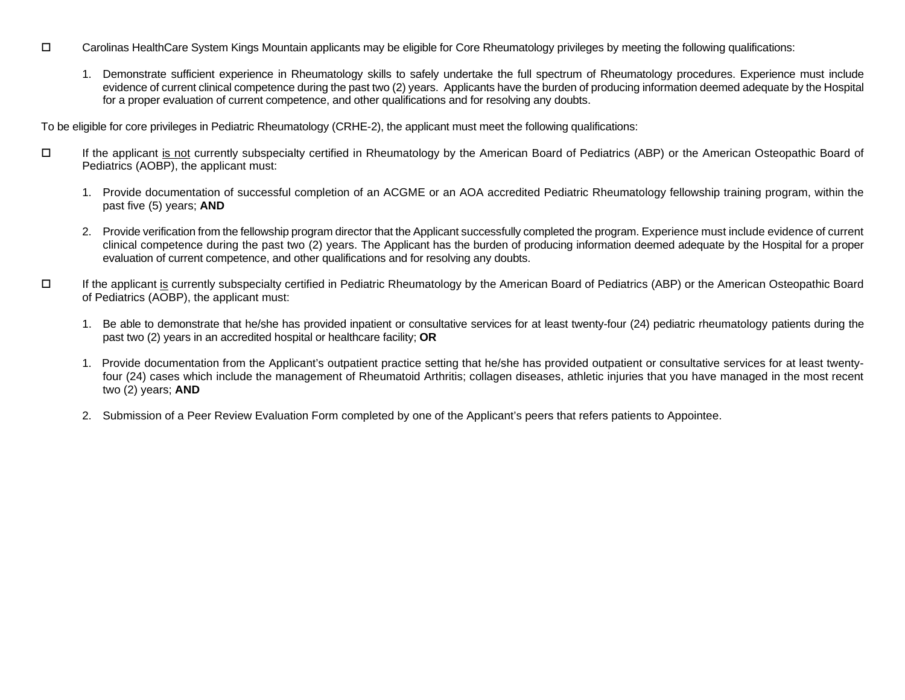- Carolinas HealthCare System Kings Mountain applicants may be eligible for Core Rheumatology privileges by meeting the following qualifications:
	- 1. Demonstrate sufficient experience in Rheumatology skills to safely undertake the full spectrum of Rheumatology procedures. Experience must include evidence of current clinical competence during the past two (2) years. Applicants have the burden of producing information deemed adequate by the Hospital for a proper evaluation of current competence, and other qualifications and for resolving any doubts.

To be eligible for core privileges in Pediatric Rheumatology (CRHE-2), the applicant must meet the following qualifications:

- If the applicant is not currently subspecialty certified in Rheumatology by the American Board of Pediatrics (ABP) or the American Osteopathic Board of Pediatrics (AOBP), the applicant must:
	- 1. Provide documentation of successful completion of an ACGME or an AOA accredited Pediatric Rheumatology fellowship training program, within the past five (5) years; **AND**
	- 2. Provide verification from the fellowship program director that the Applicant successfully completed the program. Experience must include evidence of current clinical competence during the past two (2) years. The Applicant has the burden of producing information deemed adequate by the Hospital for a proper evaluation of current competence, and other qualifications and for resolving any doubts.
- If the applicant is currently subspecialty certified in Pediatric Rheumatology by the American Board of Pediatrics (ABP) or the American Osteopathic Board of Pediatrics (AOBP), the applicant must:
	- 1. Be able to demonstrate that he/she has provided inpatient or consultative services for at least twenty-four (24) pediatric rheumatology patients during the past two (2) years in an accredited hospital or healthcare facility; **OR**
	- 1. Provide documentation from the Applicant's outpatient practice setting that he/she has provided outpatient or consultative services for at least twentyfour (24) cases which include the management of Rheumatoid Arthritis; collagen diseases, athletic injuries that you have managed in the most recent two (2) years; **AND**
	- 2. Submission of a Peer Review Evaluation Form completed by one of the Applicant's peers that refers patients to Appointee.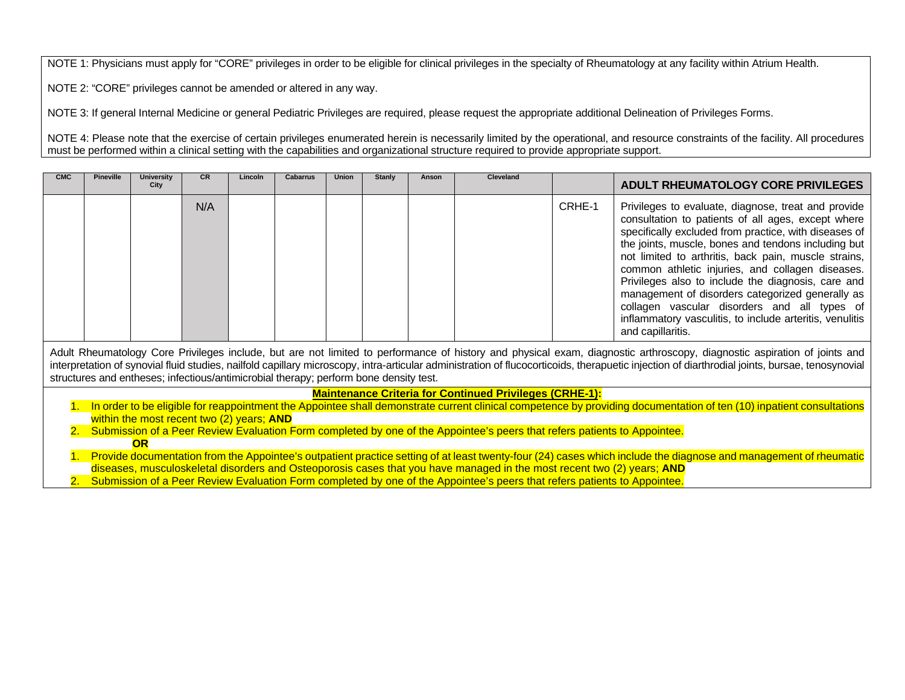NOTE 1: Physicians must apply for "CORE" privileges in order to be eligible for clinical privileges in the specialty of Rheumatology at any facility within Atrium Health.

NOTE 2: "CORE" privileges cannot be amended or altered in any way.

NOTE 3: If general Internal Medicine or general Pediatric Privileges are required, please request the appropriate additional Delineation of Privileges Forms.

NOTE 4: Please note that the exercise of certain privileges enumerated herein is necessarily limited by the operational, and resource constraints of the facility. All procedures must be performed within a clinical setting with the capabilities and organizational structure required to provide appropriate support.

| <b>CMC</b>                                                                                                                                                                                                                                                                                                                                                                                                                                                          | <b>Pineville</b>                                                                                                                                                                                                                                                                              | <b>University</b> | <b>CR</b> | Lincoln | <b>Cabarrus</b> | Union | Stanly | Anson | Cleveland                                                      |        |                                                                                                                                                                                                                                                                                                                                                                                                                                                                                                                                                                                  |  |
|---------------------------------------------------------------------------------------------------------------------------------------------------------------------------------------------------------------------------------------------------------------------------------------------------------------------------------------------------------------------------------------------------------------------------------------------------------------------|-----------------------------------------------------------------------------------------------------------------------------------------------------------------------------------------------------------------------------------------------------------------------------------------------|-------------------|-----------|---------|-----------------|-------|--------|-------|----------------------------------------------------------------|--------|----------------------------------------------------------------------------------------------------------------------------------------------------------------------------------------------------------------------------------------------------------------------------------------------------------------------------------------------------------------------------------------------------------------------------------------------------------------------------------------------------------------------------------------------------------------------------------|--|
|                                                                                                                                                                                                                                                                                                                                                                                                                                                                     |                                                                                                                                                                                                                                                                                               | City              |           |         |                 |       |        |       |                                                                |        | <b>ADULT RHEUMATOLOGY CORE PRIVILEGES</b>                                                                                                                                                                                                                                                                                                                                                                                                                                                                                                                                        |  |
|                                                                                                                                                                                                                                                                                                                                                                                                                                                                     |                                                                                                                                                                                                                                                                                               |                   | N/A       |         |                 |       |        |       |                                                                | CRHE-1 | Privileges to evaluate, diagnose, treat and provide<br>consultation to patients of all ages, except where<br>specifically excluded from practice, with diseases of<br>the joints, muscle, bones and tendons including but<br>not limited to arthritis, back pain, muscle strains,<br>common athletic injuries, and collagen diseases.<br>Privileges also to include the diagnosis, care and<br>management of disorders categorized generally as<br>collagen vascular disorders and all types of<br>inflammatory vasculitis, to include arteritis, venulitis<br>and capillaritis. |  |
| Adult Rheumatology Core Privileges include, but are not limited to performance of history and physical exam, diagnostic arthroscopy, diagnostic aspiration of joints and<br>interpretation of synovial fluid studies, nailfold capillary microscopy, intra-articular administration of flucocorticoids, therapuetic injection of diarthrodial joints, bursae, tenosynovial<br>structures and entheses; infectious/antimicrobial therapy; perform bone density test. |                                                                                                                                                                                                                                                                                               |                   |           |         |                 |       |        |       |                                                                |        |                                                                                                                                                                                                                                                                                                                                                                                                                                                                                                                                                                                  |  |
|                                                                                                                                                                                                                                                                                                                                                                                                                                                                     |                                                                                                                                                                                                                                                                                               |                   |           |         |                 |       |        |       | <b>Maintenance Criteria for Continued Privileges (CRHE-1):</b> |        |                                                                                                                                                                                                                                                                                                                                                                                                                                                                                                                                                                                  |  |
|                                                                                                                                                                                                                                                                                                                                                                                                                                                                     |                                                                                                                                                                                                                                                                                               |                   |           |         |                 |       |        |       |                                                                |        | In order to be eligible for reappointment the Appointee shall demonstrate current clinical competence by providing documentation of ten (10) inpatient consultations                                                                                                                                                                                                                                                                                                                                                                                                             |  |
|                                                                                                                                                                                                                                                                                                                                                                                                                                                                     | within the most recent two (2) years; AND                                                                                                                                                                                                                                                     |                   |           |         |                 |       |        |       |                                                                |        |                                                                                                                                                                                                                                                                                                                                                                                                                                                                                                                                                                                  |  |
| 2. Submission of a Peer Review Evaluation Form completed by one of the Appointee's peers that refers patients to Appointee.                                                                                                                                                                                                                                                                                                                                         |                                                                                                                                                                                                                                                                                               |                   |           |         |                 |       |        |       |                                                                |        |                                                                                                                                                                                                                                                                                                                                                                                                                                                                                                                                                                                  |  |
| $\overline{OR}$                                                                                                                                                                                                                                                                                                                                                                                                                                                     |                                                                                                                                                                                                                                                                                               |                   |           |         |                 |       |        |       |                                                                |        |                                                                                                                                                                                                                                                                                                                                                                                                                                                                                                                                                                                  |  |
|                                                                                                                                                                                                                                                                                                                                                                                                                                                                     | 1. Provide documentation from the Appointee's outpatient practice setting of at least twenty-four (24) cases which include the diagnose and management of rheumatic<br>diseases, musculoskeletal disorders and Osteoporosis cases that you have managed in the most recent two (2) years; AND |                   |           |         |                 |       |        |       |                                                                |        |                                                                                                                                                                                                                                                                                                                                                                                                                                                                                                                                                                                  |  |
|                                                                                                                                                                                                                                                                                                                                                                                                                                                                     |                                                                                                                                                                                                                                                                                               |                   |           |         |                 |       |        |       |                                                                |        |                                                                                                                                                                                                                                                                                                                                                                                                                                                                                                                                                                                  |  |
|                                                                                                                                                                                                                                                                                                                                                                                                                                                                     | Submission of a Peer Review Evaluation Form completed by one of the Appointee's peers that refers patients to Appointee.                                                                                                                                                                      |                   |           |         |                 |       |        |       |                                                                |        |                                                                                                                                                                                                                                                                                                                                                                                                                                                                                                                                                                                  |  |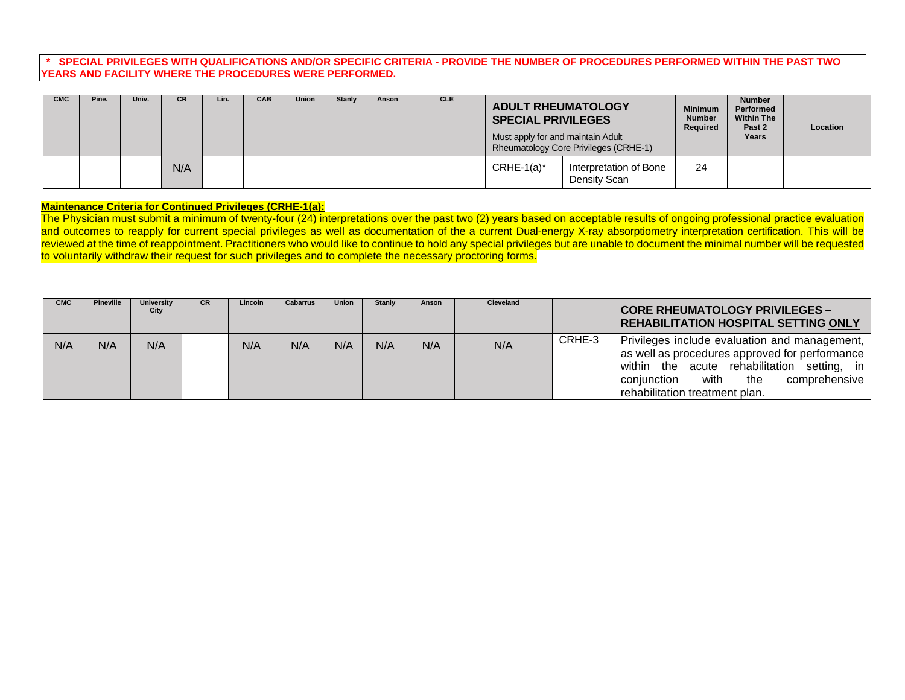### **\* SPECIAL PRIVILEGES WITH QUALIFICATIONS AND/OR SPECIFIC CRITERIA - PROVIDE THE NUMBER OF PROCEDURES PERFORMED WITHIN THE PAST TWO YEARS AND FACILITY WHERE THE PROCEDURES WERE PERFORMED.**

| <b>CMC</b> | Pine. | Univ. | <b>CR</b> | Lin. | <b>CAB</b> | <b>Union</b> | <b>Stanly</b> | Anson | <b>CLE</b> | <b>ADULT RHEUMATOLOGY</b><br><b>SPECIAL PRIVILEGES</b><br>Must apply for and maintain Adult<br>Rheumatology Core Privileges (CRHE-1) |                                        | <b>Minimum</b><br><b>Number</b><br>Required | <b>Number</b><br>Performed<br><b>Within The</b><br>Past 2<br>Years | Location |
|------------|-------|-------|-----------|------|------------|--------------|---------------|-------|------------|--------------------------------------------------------------------------------------------------------------------------------------|----------------------------------------|---------------------------------------------|--------------------------------------------------------------------|----------|
|            |       |       | N/A       |      |            |              |               |       |            | $CRHE-1(a)^*$                                                                                                                        | Interpretation of Bone<br>Density Scan | 24                                          |                                                                    |          |

#### **Maintenance Criteria for Continued Privileges (CRHE-1(a):**

The Physician must submit a minimum of twenty-four (24) interpretations over the past two (2) years based on acceptable results of ongoing professional practice evaluation and outcomes to reapply for current special privileges as well as documentation of the a current Dual-energy X-ray absorptiometry interpretation certification. This will be reviewed at the time of reappointment. Practitioners who would like to continue to hold any special privileges but are unable to document the minimal number will be requested to voluntarily withdraw their request for such privileges and to complete the necessary proctoring forms.

| <b>CMC</b> | <b>Pineville</b> | <b>University</b><br>City | CR. | Lincoln | Cabarrus | Union | Stanly | Anson | <b>Cleveland</b> |        | <b>CORE RHEUMATOLOGY PRIVILEGES -</b><br><b>REHABILITATION HOSPITAL SETTING ONLY</b>                                                                                                                                               |
|------------|------------------|---------------------------|-----|---------|----------|-------|--------|-------|------------------|--------|------------------------------------------------------------------------------------------------------------------------------------------------------------------------------------------------------------------------------------|
| N/A        | N/A              | N/A                       |     | N/A     | N/A      | N/A   | N/A    | N/A   | N/A              | CRHE-3 | Privileges include evaluation and management,<br>as well as procedures approved for performance<br>acute rehabilitation setting, in<br>within the<br>with<br>comprehensive<br>the<br>coniunction<br>rehabilitation treatment plan. |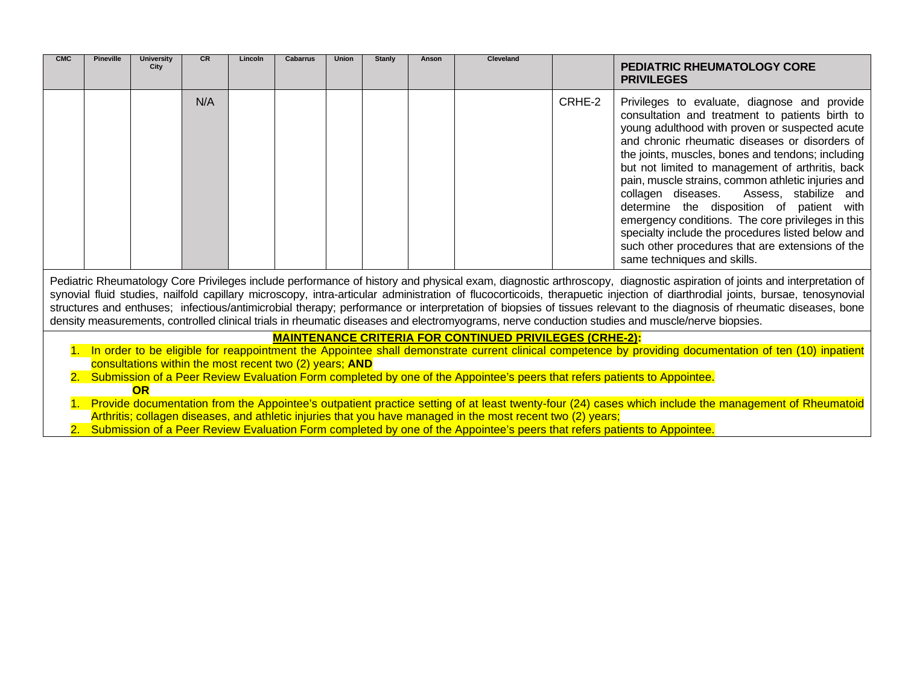| <b>CMC</b>                                                                                                                                                                                                                                                                                                                                                                                                                                                                                                                                                                                                                                                                         | <b>Pineville</b> | <b>University</b><br>City | CR  | Lincoln | <b>Cabarrus</b> | <b>Union</b> | <b>Stanly</b> | Anson | Cleveland |        | <b>PEDIATRIC RHEUMATOLOGY CORE</b><br><b>PRIVILEGES</b>                                                                                                                                                                                                                                                                                                                                                                                                                                                                                                                                                                                                     |
|------------------------------------------------------------------------------------------------------------------------------------------------------------------------------------------------------------------------------------------------------------------------------------------------------------------------------------------------------------------------------------------------------------------------------------------------------------------------------------------------------------------------------------------------------------------------------------------------------------------------------------------------------------------------------------|------------------|---------------------------|-----|---------|-----------------|--------------|---------------|-------|-----------|--------|-------------------------------------------------------------------------------------------------------------------------------------------------------------------------------------------------------------------------------------------------------------------------------------------------------------------------------------------------------------------------------------------------------------------------------------------------------------------------------------------------------------------------------------------------------------------------------------------------------------------------------------------------------------|
|                                                                                                                                                                                                                                                                                                                                                                                                                                                                                                                                                                                                                                                                                    |                  |                           | N/A |         |                 |              |               |       |           | CRHE-2 | Privileges to evaluate, diagnose and provide<br>consultation and treatment to patients birth to<br>young adulthood with proven or suspected acute<br>and chronic rheumatic diseases or disorders of<br>the joints, muscles, bones and tendons; including<br>but not limited to management of arthritis, back<br>pain, muscle strains, common athletic injuries and<br>collagen diseases.<br>Assess, stabilize and<br>determine the disposition of patient with<br>emergency conditions. The core privileges in this<br>specialty include the procedures listed below and<br>such other procedures that are extensions of the<br>same techniques and skills. |
| Pediatric Rheumatology Core Privileges include performance of history and physical exam, diagnostic arthroscopy, diagnostic aspiration of joints and interpretation of<br>synovial fluid studies, nailfold capillary microscopy, intra-articular administration of flucocorticoids, therapuetic injection of diarthrodial joints, bursae, tenosynovial<br>structures and enthuses; infectious/antimicrobial therapy; performance or interpretation of biopsies of tissues relevant to the diagnosis of rheumatic diseases, bone<br>density measurements, controlled clinical trials in rheumatic diseases and electromyograms, nerve conduction studies and muscle/nerve biopsies. |                  |                           |     |         |                 |              |               |       |           |        |                                                                                                                                                                                                                                                                                                                                                                                                                                                                                                                                                                                                                                                             |
| <b>MAINTENANCE CRITERIA FOR CONTINUED PRIVILEGES (CRHE-2):</b>                                                                                                                                                                                                                                                                                                                                                                                                                                                                                                                                                                                                                     |                  |                           |     |         |                 |              |               |       |           |        |                                                                                                                                                                                                                                                                                                                                                                                                                                                                                                                                                                                                                                                             |
| 1. In order to be eligible for reappointment the Appointee shall demonstrate current clinical competence by providing documentation of ten (10) inpatient<br>consultations within the most recent two (2) years; AND                                                                                                                                                                                                                                                                                                                                                                                                                                                               |                  |                           |     |         |                 |              |               |       |           |        |                                                                                                                                                                                                                                                                                                                                                                                                                                                                                                                                                                                                                                                             |
| 2. Submission of a Peer Review Evaluation Form completed by one of the Appointee's peers that refers patients to Appointee.                                                                                                                                                                                                                                                                                                                                                                                                                                                                                                                                                        |                  |                           |     |         |                 |              |               |       |           |        |                                                                                                                                                                                                                                                                                                                                                                                                                                                                                                                                                                                                                                                             |
| OR<br>1. Provide documentation from the Appointee's outpatient practice setting of at least twenty-four (24) cases which include the management of Rheumatoid<br>Arthritis; collagen diseases, and athletic injuries that you have managed in the most recent two (2) years;                                                                                                                                                                                                                                                                                                                                                                                                       |                  |                           |     |         |                 |              |               |       |           |        |                                                                                                                                                                                                                                                                                                                                                                                                                                                                                                                                                                                                                                                             |

2. Submission of a Peer Review Evaluation Form completed by one of the Appointee's peers that refers patients to Appointee.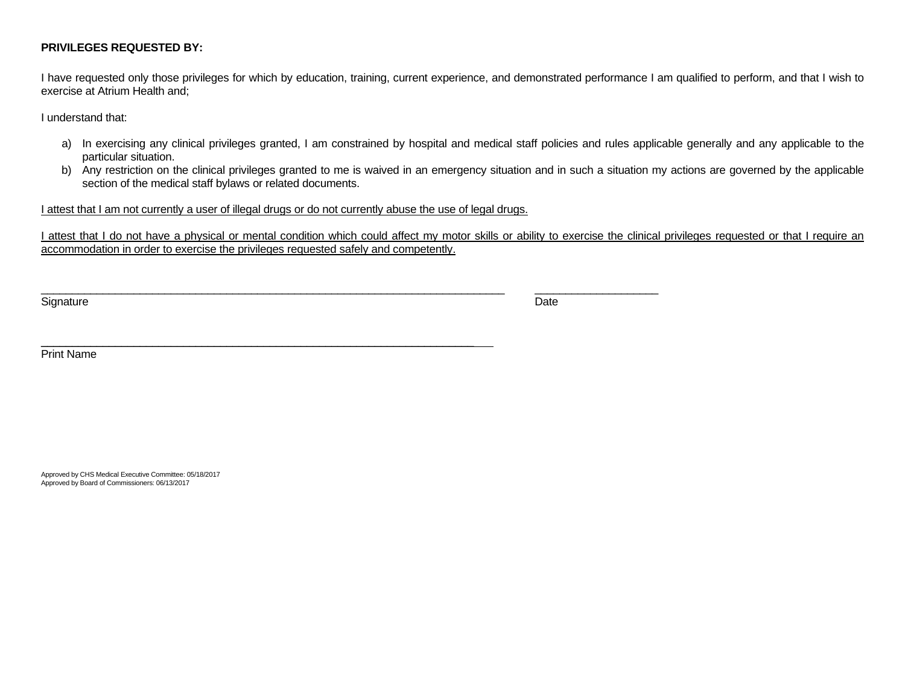## **PRIVILEGES REQUESTED BY:**

I have requested only those privileges for which by education, training, current experience, and demonstrated performance I am qualified to perform, and that I wish to exercise at Atrium Health and;

I understand that:

- a) In exercising any clinical privileges granted, I am constrained by hospital and medical staff policies and rules applicable generally and any applicable to the particular situation.
- b) Any restriction on the clinical privileges granted to me is waived in an emergency situation and in such a situation my actions are governed by the applicable section of the medical staff bylaws or related documents.

I attest that I am not currently a user of illegal drugs or do not currently abuse the use of legal drugs.

\_\_\_\_\_\_\_\_\_\_\_\_\_\_\_\_\_\_\_\_\_\_\_\_\_\_\_\_\_\_\_\_\_\_\_\_\_\_\_\_\_\_\_\_\_\_\_\_\_\_\_\_\_\_\_\_\_\_\_\_\_\_\_\_\_\_\_\_\_\_

I attest that I do not have a physical or mental condition which could affect my motor skills or ability to exercise the clinical privileges requested or that I require an accommodation in order to exercise the privileges requested safely and competently.

Signature Date Date of the Signature Date of the Date of the Date of the Date of the Date of the Date of the D

\_\_\_\_\_\_\_\_\_\_\_\_\_\_\_\_\_\_\_\_\_\_\_\_\_\_\_\_\_\_\_\_\_\_\_\_\_\_\_\_\_\_\_\_\_\_\_\_\_\_\_\_\_\_\_\_\_\_\_\_\_\_\_\_\_\_\_\_\_\_\_\_\_\_\_ \_\_\_\_\_\_\_\_\_\_\_\_\_\_\_\_\_\_\_\_

Print Name

Approved by CHS Medical Executive Committee: 05/18/2017 Approved by Board of Commissioners: 06/13/2017